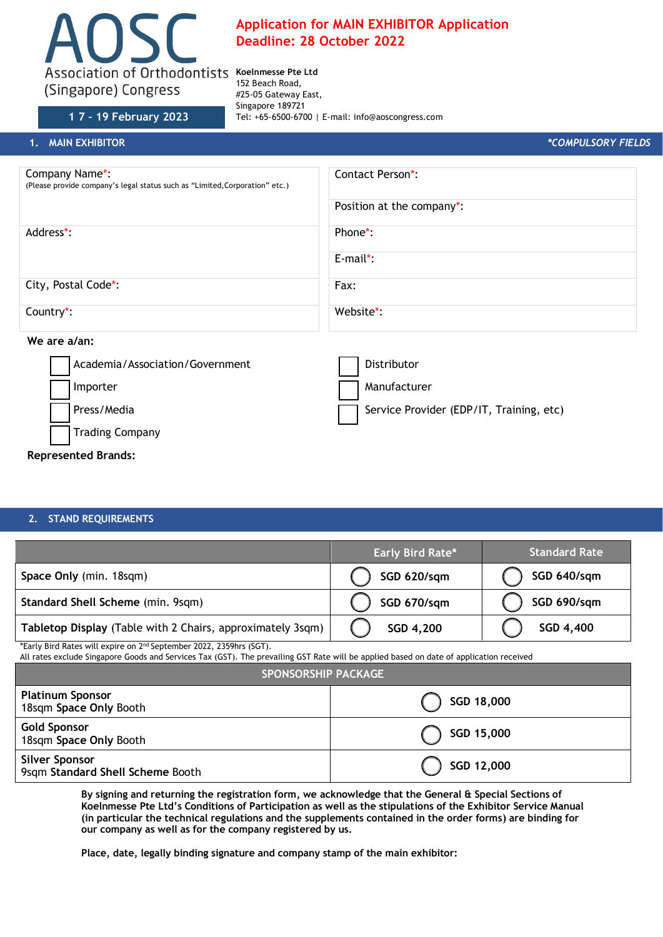

# **Application for MAIN EXHIBITOR Application Deadline: 28 October 2022**

152 Beach Road, #25-05 Gateway East, Singapore 189721 **1 7 – 19 February 2023** Tel: +65-6500-6700 | E-mail: info@aoscongress.com

| 1. MAIN EXHIBITOR                                                                             | *COMPULSORY FIELDS                       |  |
|-----------------------------------------------------------------------------------------------|------------------------------------------|--|
| Company Name*:<br>(Please provide company's legal status such as "Limited, Corporation" etc.) | Contact Person*:                         |  |
|                                                                                               | Position at the company*:                |  |
| Address*:                                                                                     | Phone*:                                  |  |
|                                                                                               | $E$ -mail*:                              |  |
| City, Postal Code*:                                                                           | Fax:                                     |  |
| Country <sup>*</sup> :                                                                        | Website*:                                |  |
| We are a/an:                                                                                  |                                          |  |
| Academia/Association/Government                                                               | Distributor                              |  |
| Importer                                                                                      | Manufacturer                             |  |
| Press/Media                                                                                   | Service Provider (EDP/IT, Training, etc) |  |
| <b>Trading Company</b>                                                                        |                                          |  |

# **Represented Brands:**

#### **2. STAND REQUIREMENTS**

|                                                                            | <b>Early Bird Rate*</b> | <b>Standard Rate</b> |
|----------------------------------------------------------------------------|-------------------------|----------------------|
| Space Only (min. 18sqm)                                                    | SGD 620/sqm             | SGD 640/sqm          |
| Standard Shell Scheme (min. 9sqm)                                          | SGD 670/sqm             | SGD 690/sqm          |
| Tabletop Display (Table with 2 Chairs, approximately 3sqm)                 | SGD 4,200               | SGD 4,400            |
| *Farly Rird Patos will overco an $200$ Contambor $2022 - 2250$ hrs $(CCT)$ |                         |                      |

\*Early Bird Rates will expire on 2 <sup>id</sup> September 2022, 2359hrs (SGT).

All rates exclude Singapore Goods and Services Tax (GST). The prevailing GST Rate will be applied based on date of application received

| <b>SPONSORSHIP PACKAGE</b>                                |            |  |
|-----------------------------------------------------------|------------|--|
| <b>Platinum Sponsor</b><br>18sqm Space Only Booth         | SGD 18,000 |  |
| <b>Gold Sponsor</b><br>18sqm Space Only Booth             | SGD 15,000 |  |
| <b>Silver Sponsor</b><br>9sqm Standard Shell Scheme Booth | SGD 12,000 |  |

**By signing and returning the registration form, we acknowledge that the General & Special Sections of Koelnmesse Pte Ltd's Conditions of Participation as well as the stipulations of the Exhibitor Service Manual (in particular the technical regulations and the supplements contained in the order forms) are binding for our company as well as for the company registered by us.**

**Place, date, legally binding signature and company stamp of the main exhibitor:**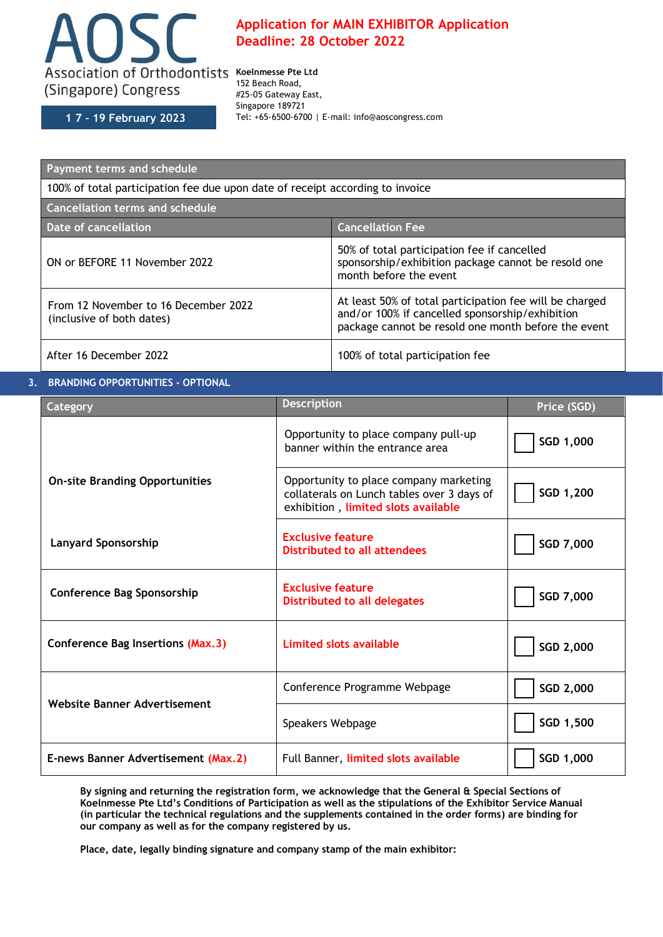

**1 7 – 19 February 2023**

# **Application for MAIN EXHIBITOR Application Deadline: 28 October 2022**

152 Beach Road, #25-05 Gateway East, Singapore 189721 Tel: +65-6500-6700 | E-mail: info@aoscongress.com

| Payment terms and schedule                                                    |                                                                                                                                                                   |  |
|-------------------------------------------------------------------------------|-------------------------------------------------------------------------------------------------------------------------------------------------------------------|--|
| 100% of total participation fee due upon date of receipt according to invoice |                                                                                                                                                                   |  |
| <b>Cancellation terms and schedule</b>                                        |                                                                                                                                                                   |  |
| Date of cancellation                                                          | <b>Cancellation Fee</b>                                                                                                                                           |  |
| ON or BEFORE 11 November 2022                                                 | 50% of total participation fee if cancelled<br>sponsorship/exhibition package cannot be resold one<br>month before the event                                      |  |
| From 12 November to 16 December 2022<br>(inclusive of both dates)             | At least 50% of total participation fee will be charged<br>and/or 100% if cancelled sponsorship/exhibition<br>package cannot be resold one month before the event |  |
| After 16 December 2022                                                        | 100% of total participation fee                                                                                                                                   |  |

## **3. BRANDING OPPORTUNITIES - OPTIONAL**

| Category                              | <b>Description</b>                                                                                                          | Price (SGD) |
|---------------------------------------|-----------------------------------------------------------------------------------------------------------------------------|-------------|
|                                       | Opportunity to place company pull-up<br>banner within the entrance area                                                     | SGD 1,000   |
| <b>On-site Branding Opportunities</b> | Opportunity to place company marketing<br>collaterals on Lunch tables over 3 days of<br>exhibition, limited slots available | SGD 1,200   |
| <b>Lanyard Sponsorship</b>            | <b>Exclusive feature</b><br><b>Distributed to all attendees</b>                                                             | SGD 7,000   |
| <b>Conference Bag Sponsorship</b>     | <b>Exclusive feature</b><br><b>Distributed to all delegates</b>                                                             | SGD 7,000   |
| Conference Bag Insertions (Max.3)     | <b>Limited slots available</b>                                                                                              | SGD 2,000   |
| Website Banner Advertisement          | Conference Programme Webpage                                                                                                | SGD 2,000   |
|                                       | Speakers Webpage                                                                                                            | SGD 1,500   |
| E-news Banner Advertisement (Max.2)   | Full Banner, limited slots available                                                                                        | SGD 1,000   |

**By signing and returning the registration form, we acknowledge that the General & Special Sections of Koelnmesse Pte Ltd's Conditions of Participation as well as the stipulations of the Exhibitor Service Manual (in particular the technical regulations and the supplements contained in the order forms) are binding for our company as well as for the company registered by us.**

**Place, date, legally binding signature and company stamp of the main exhibitor:**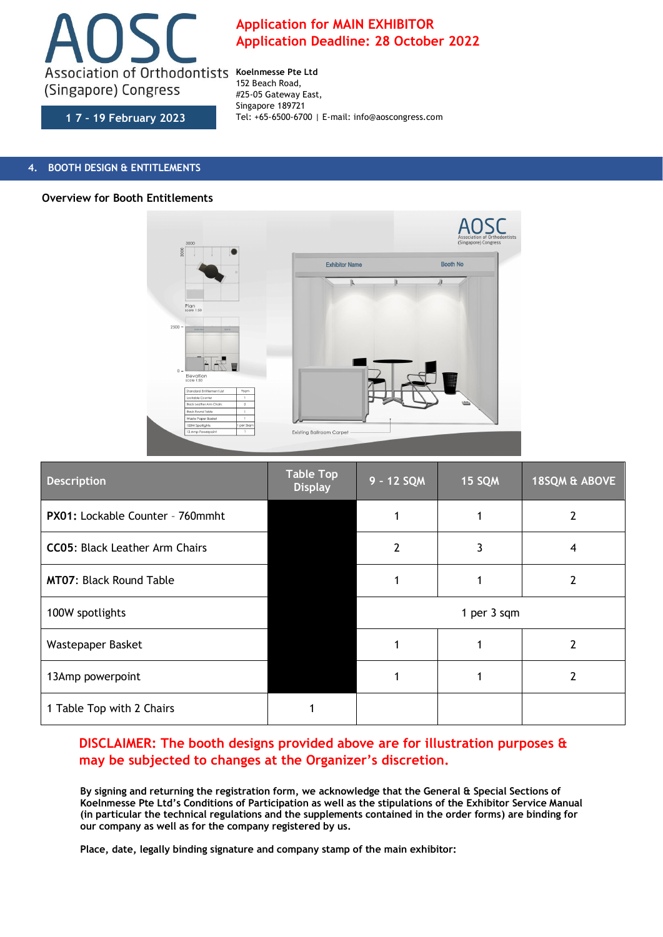

**1 7 – 19 February 2023**

### **4. BOOTH DESIGN & ENTITLEMENTS**

#### **Overview for Booth Entitlements**



| <b>Description</b>                    | <b>Table Top</b><br><b>Display</b> | 9 - 12 SQM | 15 SQM      | 18SQM & ABOVE |
|---------------------------------------|------------------------------------|------------|-------------|---------------|
| PX01: Lockable Counter - 760mmht      |                                    |            |             |               |
| <b>CC05: Black Leather Arm Chairs</b> |                                    | 7          |             | 4             |
| <b>MT07: Black Round Table</b>        |                                    |            |             | 2             |
| 100W spotlights                       |                                    |            | 1 per 3 sqm |               |
| Wastepaper Basket                     |                                    |            |             |               |
| 13Amp powerpoint                      |                                    |            |             |               |
| 1 Table Top with 2 Chairs             |                                    |            |             |               |

# **DISCLAIMER: The booth designs provided above are for illustration purposes & may be subjected to changes at the Organizer's discretion.**

**By signing and returning the registration form, we acknowledge that the General & Special Sections of Koelnmesse Pte Ltd's Conditions of Participation as well as the stipulations of the Exhibitor Service Manual (in particular the technical regulations and the supplements contained in the order forms) are binding for our company as well as for the company registered by us.**

**Place, date, legally binding signature and company stamp of the main exhibitor:**

# **Application for MAIN EXHIBITOR Application Deadline: 28 October 2022**

152 Beach Road, #25-05 Gateway East, Singapore 189721 Tel: +65-6500-6700 | E-mail: info@aoscongress.com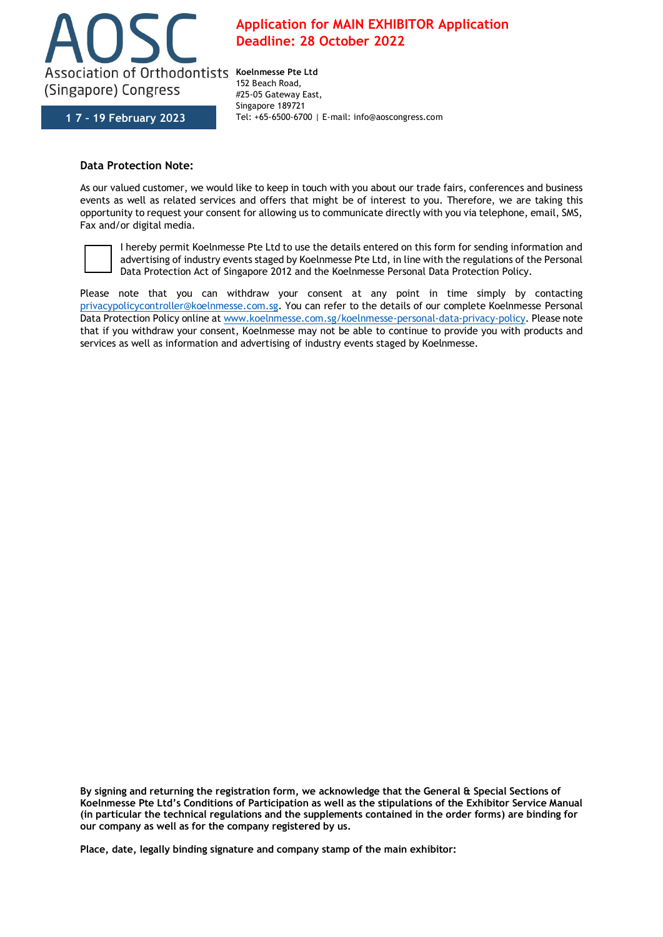

**1 7 – 19 February 2023**

# **Application for MAIN EXHIBITOR Application Deadline: 28 October 2022**

152 Beach Road, #25-05 Gateway East, Singapore 189721 Tel: +65-6500-6700 | E-mail: info@aoscongress.com

## **Data Protection Note:**

As our valued customer, we would like to keep in touch with you about our trade fairs, conferences and business events as well as related services and offers that might be of interest to you. Therefore, we are taking this opportunity to request your consent for allowing us to communicate directly with you via telephone, email, SMS, Fax and/or digital media.



I hereby permit Koelnmesse Pte Ltd to use the details entered on this form for sending information and advertising of industry events staged by Koelnmesse Pte Ltd, in line with the regulations of the Personal Data Protection Act of Singapore 2012 and the Koelnmesse Personal Data Protection Policy.

Please note that you can withdraw your consent at any point in time simply by contacting [privacypolicycontroller@koelnmesse.com.sg.](mailto:privacypolicycontroller@koelnmesse.com.sg) You can refer to the details of our complete Koelnmesse Personal Data Protection Policy online a[t www.koelnmesse.com.sg/koelnmesse-personal-data-privacy-policy.](http://www.koelnmesse.com.sg/koelnmesse-personal-data-privacy-policy) Please note that if you withdraw your consent, Koelnmesse may not be able to continue to provide you with products and services as well as information and advertising of industry events staged by Koelnmesse.

**By signing and returning the registration form, we acknowledge that the General & Special Sections of Koelnmesse Pte Ltd's Conditions of Participation as well as the stipulations of the Exhibitor Service Manual (in particular the technical regulations and the supplements contained in the order forms) are binding for our company as well as for the company registered by us.**

**Place, date, legally binding signature and company stamp of the main exhibitor:**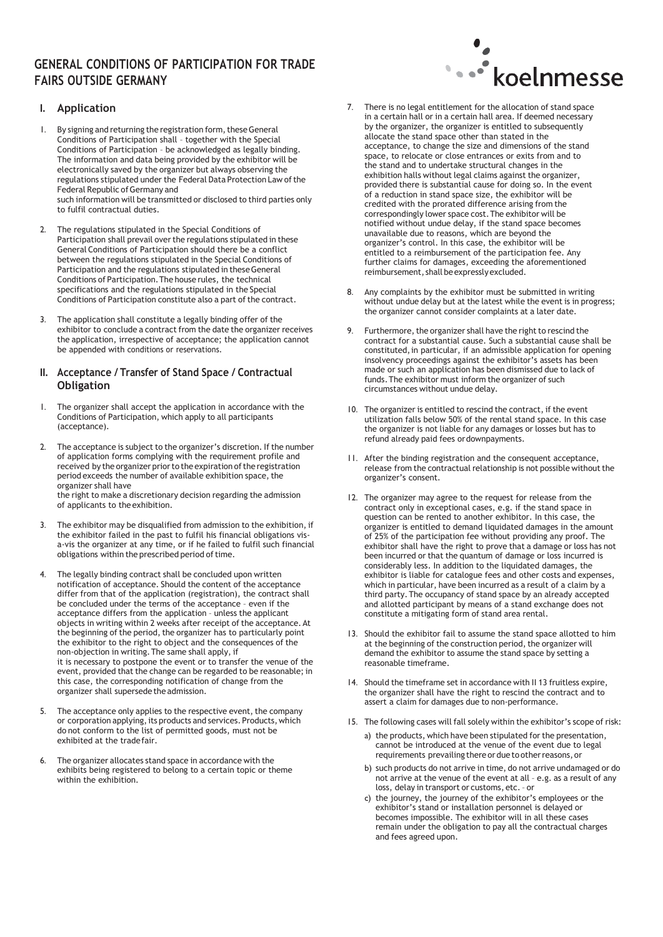# **GENERAL CONDITIONS OF PARTICIPATION FOR TRADE FAIRS OUTSIDE GERMANY**



### **I. Application**

- 1. By signing and returning the registration form, these General Conditions of Participation shall – together with the Special Conditions of Participation – be acknowledged as legally binding. The information and data being provided by the exhibitor will be electronically saved by the organizer but always observing the regulations stipulated under the Federal Data Protection Law of the Federal Republic of Germany and such information will be transmitted or disclosed to third parties only to fulfil contractual duties.
- 2. The regulations stipulated in the Special Conditions of Participation shall prevail over the regulations stipulated in these General Conditions of Participation should there be a conflict between the regulations stipulated in the Special Conditions of Participation and the regulations stipulated in these General Conditions of Participation.The house rules, the technical specifications and the regulations stipulated in the Special Conditions of Participation constitute also a part of the contract.
- 3. The application shall constitute a legally binding offer of the exhibitor to conclude a contract from the date the organizer receives the application, irrespective of acceptance; the application cannot be appended with conditions or reservations.

#### **II. Acceptance / Transfer of Stand Space / Contractual Obligation**

- 1. The organizer shall accept the application in accordance with the Conditions of Participation, which apply to all participants (acceptance).
- The acceptance is subject to the organizer's discretion. If the number of application forms complying with the requirement profile and received by the organizer prior to the expiration of the registration period exceeds the number of available exhibition space, the organizer shall have the right to make a discretionary decision regarding the admission of applicants to the exhibition.
- 3. The exhibitor may be disqualified from admission to the exhibition, if the exhibitor failed in the past to fulfil his financial obligations visa-vis the organizer at any time, or if he failed to fulfil such financial obligations within the prescribed period of time.
- 4. The legally binding contract shall be concluded upon written notification of acceptance. Should the content of the acceptance differ from that of the application (registration), the contract shall be concluded under the terms of the acceptance – even if the acceptance differs from the application – unless the applicant objects in writing within 2 weeks after receipt of the acceptance.At the beginning of the period, the organizer has to particularly point the exhibitor to the right to object and the consequences of the non-objection in writing.The same shall apply, if it is necessary to postpone the event or to transfer the venue of the event, provided that the change can be regarded to be reasonable; in this case, the corresponding notification of change from the organizer shall supersede the admission.
- 5. The acceptance only applies to the respective event, the company or corporation applying, its products and services. Products, which do not conform to the list of permitted goods, must not be exhibited at the tradefair.
- 6. The organizer allocates stand space in accordance with the exhibits being registered to belong to a certain topic or theme within the exhibition.
- 7. There is no legal entitlement for the allocation of stand space in a certain hall or in a certain hall area. If deemed necessary by the organizer, the organizer is entitled to subsequently allocate the stand space other than stated in the acceptance, to change the size and dimensions of the stand space, to relocate or close entrances or exits from and to the stand and to undertake structural changes in the exhibition halls without legal claims against the organizer, provided there is substantial cause for doing so. In the event of a reduction in stand space size, the exhibitor will be credited with the prorated difference arising from the correspondingly lower space cost.The exhibitor will be notified without undue delay, if the stand space becomes unavailable due to reasons, which are beyond the organizer's control. In this case, the exhibitor will be entitled to a reimbursement of the participation fee. Any further claims for damages, exceeding the aforementioned reimbursement, shall be expressly excluded.
- 8. Any complaints by the exhibitor must be submitted in writing without undue delay but at the latest while the event is in progress; the organizer cannot consider complaints at a later date.
- 9. Furthermore, the organizer shall have the right to rescind the contract for a substantial cause. Such a substantial cause shall be constituted, in particular, if an admissible application for opening insolvency proceedings against the exhibitor's assets has been made or such an application has been dismissed due to lack of funds.The exhibitor must inform the organizer of such circumstances without undue delay.
- 10. The organizer is entitled to rescind the contract, if the event utilization falls below 50% of the rental stand space. In this case the organizer is not liable for any damages or losses but has to refund already paid fees ordownpayments.
- 11. After the binding registration and the consequent acceptance, release from the contractual relationship is not possible without the organizer's consent.
- 12. The organizer may agree to the request for release from the contract only in exceptional cases, e.g. if the stand space in question can be rented to another exhibitor. In this case, the organizer is entitled to demand liquidated damages in the amount of 25% of the participation fee without providing any proof. The exhibitor shall have the right to prove that a damage or loss has not been incurred or that the quantum of damage or loss incurred is considerably less. In addition to the liquidated damages, the exhibitor is liable for catalogue fees and other costs and expenses, which in particular, have been incurred as a result of a claim by a third party.The occupancy of stand space by an already accepted and allotted participant by means of a stand exchange does not constitute a mitigating form of stand area rental.
- 13. Should the exhibitor fail to assume the stand space allotted to him at the beginning of the construction period, the organizer will demand the exhibitor to assume the stand space by setting a reasonable timeframe.
- 14. Should the timeframe set in accordance with II 13 fruitless expire, the organizer shall have the right to rescind the contract and to assert a claim for damages due to non-performance.
- 15. The following cases will fall solely within the exhibitor's scope of risk:
	- a) the products, which have been stipulated for the presentation, cannot be introduced at the venue of the event due to legal requirements prevailing there or due to other reasons, or
	- b) such products do not arrive in time, do not arrive undamaged or do not arrive at the venue of the event at all - e.g. as a result of any loss, delay in transport or customs, etc.– or
	- c) the journey, the journey of the exhibitor's employees or the exhibitor's stand or installation personnel is delayed or becomes impossible. The exhibitor will in all these cases remain under the obligation to pay all the contractual charges and fees agreed upon.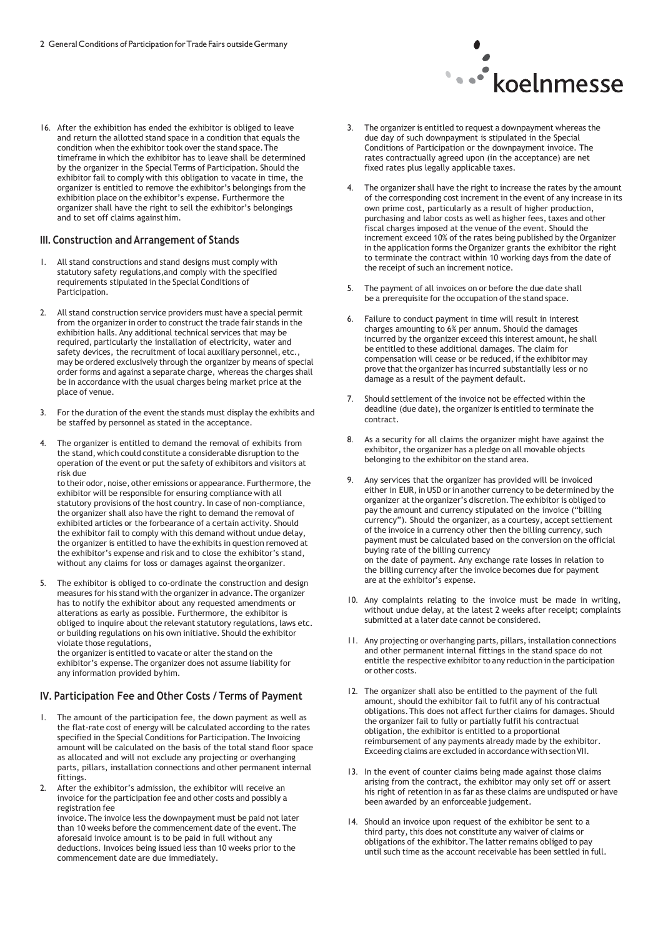

#### **III. Construction and Arrangement of Stands**

- 1. All stand constructions and stand designs must comply with statutory safety regulations,and comply with the specified requirements stipulated in the Special Conditions of Participation.
- 2. All stand construction service providers must have a special permit from the organizer in order to construct the trade fair stands in the exhibition halls. Any additional technical services that may be required, particularly the installation of electricity, water and safety devices, the recruitment of local auxiliary personnel, etc., may be ordered exclusively through the organizer by means of special order forms and against a separate charge, whereas the charges shall be in accordance with the usual charges being market price at the place of venue.
- 3. For the duration of the event the stands must display the exhibits and be staffed by personnel as stated in the acceptance.
- The organizer is entitled to demand the removal of exhibits from the stand, which could constitute a considerable disruption to the operation of the event or put the safety of exhibitors and visitors at risk due

to their odor, noise, other emissions or appearance. Furthermore, the exhibitor will be responsible for ensuring compliance with all statutory provisions of the host country. In case of non-compliance, the organizer shall also have the right to demand the removal of exhibited articles or the forbearance of a certain activity. Should the exhibitor fail to comply with this demand without undue delay, the organizer is entitled to have the exhibits in question removed at the exhibitor's expense and risk and to close the exhibitor's stand, without any claims for loss or damages against theorganizer.

5. The exhibitor is obliged to co-ordinate the construction and design measures for his stand with the organizer in advance.The organizer has to notify the exhibitor about any requested amendments or alterations as early as possible. Furthermore, the exhibitor is obliged to inquire about the relevant statutory regulations, laws etc. or building regulations on his own initiative. Should the exhibitor violate those regulations,

the organizer is entitled to vacate or alter the stand on the exhibitor's expense.The organizer does not assume liability for any information provided byhim.

#### **IV. Participation Fee and Other Costs / Terms of Payment**

- The amount of the participation fee, the down payment as well as the flat-rate cost of energy will be calculated according to the rates specified in the Special Conditions for Participation.The Invoicing amount will be calculated on the basis of the total stand floor space as allocated and will not exclude any projecting or overhanging parts, pillars, installation connections and other permanent internal fittings.
- 2. After the exhibitor's admission, the exhibitor will receive an invoice for the participation fee and other costs and possibly a registration fee

invoice.The invoice less the downpayment must be paid not later than 10 weeks before the commencement date of the event.The aforesaid invoice amount is to be paid in full without any deductions. Invoices being issued less than 10 weeks prior to the commencement date are due immediately.



- 3. The organizer is entitled to request a downpayment whereas the due day of such downpayment is stipulated in the Special Conditions of Participation or the downpayment invoice. The rates contractually agreed upon (in the acceptance) are net fixed rates plus legally applicable taxes.
- 4. The organizer shall have the right to increase the rates by the amount of the corresponding cost increment in the event of any increase in its own prime cost, particularly as a result of higher production, purchasing and labor costs as well as higher fees, taxes and other fiscal charges imposed at the venue of the event. Should the increment exceed 10% of the rates being published by the Organizer in the application forms the Organizer grants the exhibitor the right to terminate the contract within 10 working days from the date of the receipt of such an increment notice.
- 5. The payment of all invoices on or before the due date shall be a prerequisite for the occupation of the stand space.
- 6. Failure to conduct payment in time will result in interest charges amounting to 6% per annum. Should the damages incurred by the organizer exceed this interest amount, he shall be entitled to these additional damages. The claim for compensation will cease or be reduced, if the exhibitor may prove that the organizer has incurred substantially less or no damage as a result of the payment default.
- 7. Should settlement of the invoice not be effected within the deadline (due date), the organizer is entitled to terminate the contract.
- 8. As a security for all claims the organizer might have against the exhibitor, the organizer has a pledge on all movable objects belonging to the exhibitor on the stand area.
- 9. Any services that the organizer has provided will be invoiced either in EUR, in USD or in another currency to be determined by the organizer at the organizer's discretion. The exhibitor is obliged to pay the amount and currency stipulated on the invoice ("billing currency"). Should the organizer, as a courtesy, accept settlement of the invoice in a currency other then the billing currency, such payment must be calculated based on the conversion on the official buying rate of the billing currency on the date of payment. Any exchange rate losses in relation to the billing currency after the invoice becomes due for payment are at the exhibitor's expense.
- 10. Any complaints relating to the invoice must be made in writing, without undue delay, at the latest 2 weeks after receipt; complaints submitted at a later date cannot be considered.
- 11. Any projecting or overhanging parts, pillars, installation connections and other permanent internal fittings in the stand space do not entitle the respective exhibitor to any reduction in the participation or other costs.
- 12. The organizer shall also be entitled to the payment of the full amount, should the exhibitor fail to fulfil any of his contractual obligations.This does not affect further claims for damages. Should the organizer fail to fully or partially fulfil his contractual obligation, the exhibitor is entitled to a proportional reimbursement of any payments already made by the exhibitor. Exceeding claims are excluded in accordance with section VII.
- 13. In the event of counter claims being made against those claims arising from the contract, the exhibitor may only set off or assert his right of retention in as far as these claims are undisputed or have been awarded by an enforceable judgement.
- 14. Should an invoice upon request of the exhibitor be sent to a third party, this does not constitute any waiver of claims or obligations of the exhibitor.The latter remains obliged to pay until such time as the account receivable has been settled in full.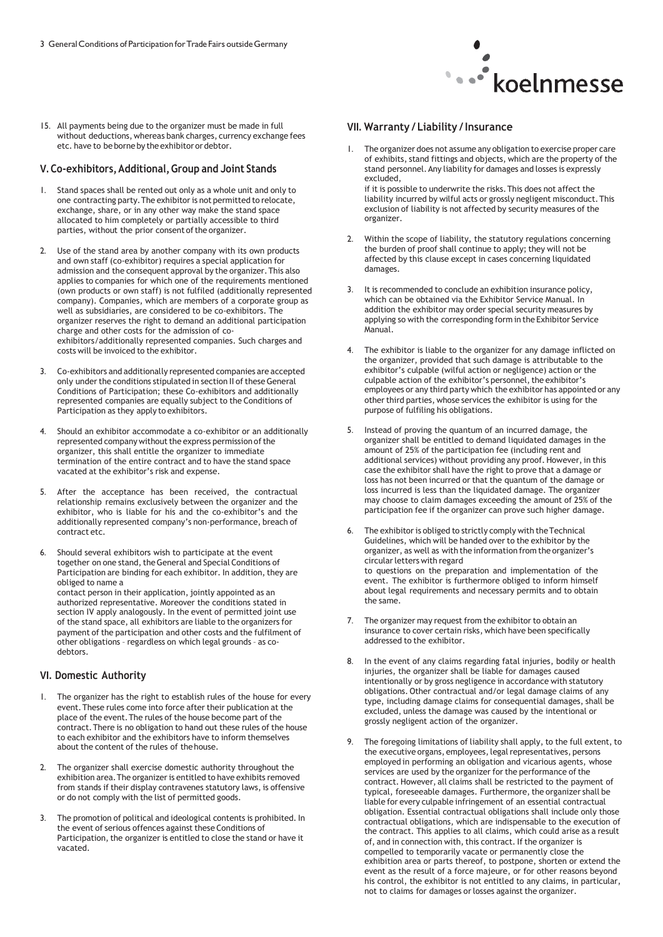

15. All payments being due to the organizer must be made in full without deductions, whereas bank charges, currency exchange fees etc. have to be borne by the exhibitor or debtor.

#### **V. Co-exhibitors,Additional,Group and Joint Stands**

- 1. Stand spaces shall be rented out only as a whole unit and only to one contracting party.The exhibitoris not permitted to relocate, exchange, share, or in any other way make the stand space allocated to him completely or partially accessible to third parties, without the prior consent of the organizer.
- 2. Use of the stand area by another company with its own products and own staff (co-exhibitor) requires a special application for admission and the consequent approval by the organizer.This also applies to companies for which one of the requirements mentioned (own products or own staff) is not fulfiled (additionally represented company). Companies, which are members of a corporate group as well as subsidiaries, are considered to be co-exhibitors. The organizer reserves the right to demand an additional participation charge and other costs for the admission of coexhibitors/additionally represented companies. Such charges and costs will be invoiced to the exhibitor.
- 3. Co-exhibitors and additionally represented companies are accepted only under the conditions stipulated in section II of these General Conditions of Participation; these Co-exhibitors and additionally represented companies are equally subject to the Conditions of Participation as they apply to exhibitors.
- 4. Should an exhibitor accommodate a co-exhibitor or an additionally represented company without the express permission of the organizer, this shall entitle the organizer to immediate termination of the entire contract and to have the stand space vacated at the exhibitor's risk and expense.
- 5. After the acceptance has been received, the contractual relationship remains exclusively between the organizer and the exhibitor, who is liable for his and the co-exhibitor's and the additionally represented company's non-performance, breach of contract etc.
- 6. Should several exhibitors wish to participate at the event together on one stand, the General and Special Conditions of Participation are binding for each exhibitor. In addition, they are obliged to name a contact person in their application, jointly appointed as an authorized representative. Moreover the conditions stated in section IV apply analogously. In the event of permitted joint use of the stand space, all exhibitors are liable to the organizers for payment of the participation and other costs and the fulfilment of other obligations – regardless on which legal grounds – as codebtors.

#### **VI. Domestic Authority**

- The organizer has the right to establish rules of the house for every event.These rules come into force after their publication at the place of the event.The rules of the house become part of the contract.There is no obligation to hand out these rules of the house to each exhibitor and the exhibitors have to inform themselves about the content of the rules of the house.
- The organizer shall exercise domestic authority throughout the exhibition area. The organizer is entitled to have exhibits removed from stands if their display contravenes statutory laws, is offensive or do not comply with the list of permitted goods.
- The promotion of political and ideological contents is prohibited. In the event of serious offences against these Conditions of Participation, the organizer is entitled to close the stand or have it vacated.

#### **VII. Warranty / Liability /Insurance**

1. The organizer does not assume any obligation to exercise proper care of exhibits, stand fittings and objects, which are the property of the stand personnel.Any liability for damages and losses is expressly excluded,

if it is possible to underwrite the risks.This does not affect the liability incurred by wilful acts or grossly negligent misconduct.This exclusion of liability is not affected by security measures of the organizer.

- 2. Within the scope of liability, the statutory regulations concerning the burden of proof shall continue to apply; they will not be affected by this clause except in cases concerning liquidated damages.
- 3. It is recommended to conclude an exhibition insurance policy, which can be obtained via the Exhibitor Service Manual. In addition the exhibitor may order special security measures by applying so with the corresponding form in the Exhibitor Service Manual.
- 4. The exhibitor is liable to the organizer for any damage inflicted on the organizer, provided that such damage is attributable to the exhibitor's culpable (wilful action or negligence) action or the culpable action of the exhibitor's personnel, the exhibitor's employees or any third party which the exhibitor has appointed or any other third parties, whose services the exhibitor is using for the purpose of fulfiling his obligations.
- 5. Instead of proving the quantum of an incurred damage, the organizer shall be entitled to demand liquidated damages in the amount of 25% of the participation fee (including rent and additional services) without providing any proof. However, in this case the exhibitor shall have the right to prove that a damage or loss has not been incurred or that the quantum of the damage or loss incurred is less than the liquidated damage. The organizer may choose to claim damages exceeding the amount of 25% of the participation fee if the organizer can prove such higher damage.
- 6. The exhibitor is obliged to strictly comply with the Technical Guidelines, which will be handed over to the exhibitor by the organizer, as well as with the information from the organizer's circularletters with regard to questions on the preparation and implementation of the event. The exhibitor is furthermore obliged to inform himself about legal requirements and necessary permits and to obtain the same.
- 7. The organizer may request from the exhibitor to obtain an insurance to cover certain risks, which have been specifically addressed to the exhibitor.
- 8. In the event of any claims regarding fatal injuries, bodily or health injuries, the organizer shall be liable for damages caused intentionally or by gross negligence in accordance with statutory obligations.Other contractual and/or legal damage claims of any type, including damage claims for consequential damages, shall be excluded, unless the damage was caused by the intentional or grossly negligent action of the organizer.
- 9. The foregoing limitations of liability shall apply, to the full extent, to the executive organs, employees, legal representatives, persons employed in performing an obligation and vicarious agents, whose services are used by the organizer for the performance of the contract. However, all claims shall be restricted to the payment of typical, foreseeable damages. Furthermore, the organizer shall be liable for every culpable infringement of an essential contractual obligation. Essential contractual obligations shall include only those contractual obligations, which are indispensable to the execution of the contract. This applies to all claims, which could arise as a result of, and in connection with, this contract. If the organizer is compelled to temporarily vacate or permanently close the exhibition area or parts thereof, to postpone, shorten or extend the event as the result of a force majeure, or for other reasons beyond his control, the exhibitor is not entitled to any claims, in particular, not to claims for damages or losses against the organizer.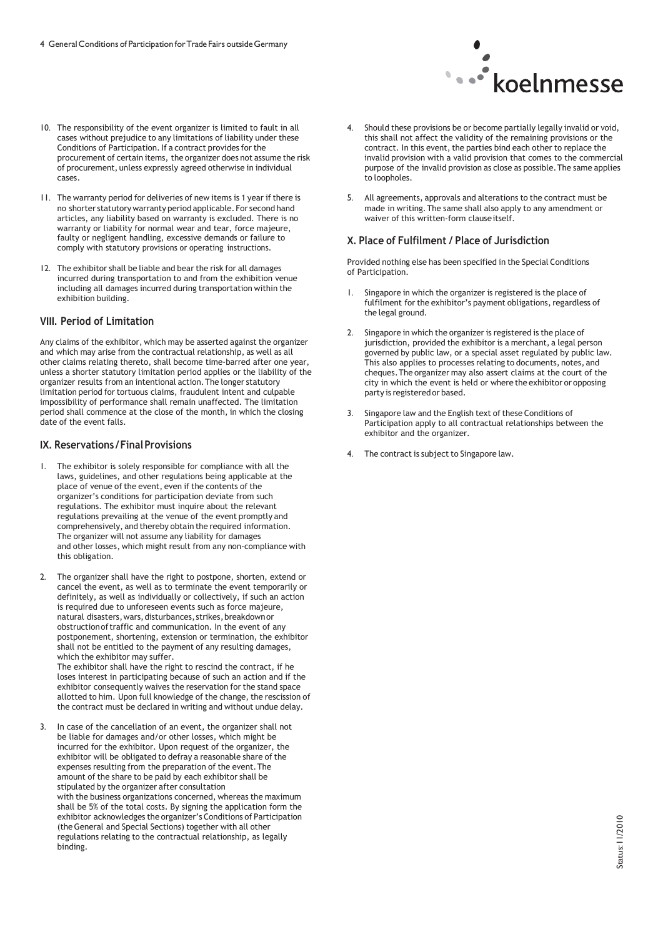

- 10. The responsibility of the event organizer is limited to fault in all cases without prejudice to any limitations of liability under these Conditions of Participation. If a contract provides for the procurement of certain items, the organizer does not assume the risk of procurement, unless expressly agreed otherwise in individual cases.
- 11. The warranty period for deliveries of new items is 1 year if there is no shorter statutory warranty period applicable.For second hand articles, any liability based on warranty is excluded. There is no warranty or liability for normal wear and tear, force majeure, faulty or negligent handling, excessive demands or failure to comply with statutory provisions or operating instructions.
- 12. The exhibitor shall be liable and bear the risk for all damages incurred during transportation to and from the exhibition venue including all damages incurred during transportation within the exhibition building.

#### **VIII. Period of Limitation**

Any claims of the exhibitor, which may be asserted against the organizer and which may arise from the contractual relationship, as well as all other claims relating thereto, shall become time-barred after one year, unless a shorter statutory limitation period applies or the liability of the organizer results from an intentional action.The longer statutory limitation period for tortuous claims, fraudulent intent and culpable impossibility of performance shall remain unaffected. The limitation period shall commence at the close of the month, in which the closing date of the event falls.

#### **IX. Reservations /FinalProvisions**

- The exhibitor is solely responsible for compliance with all the laws, guidelines, and other regulations being applicable at the place of venue of the event, even if the contents of the organizer's conditions for participation deviate from such regulations. The exhibitor must inquire about the relevant regulations prevailing at the venue of the event promptly and comprehensively, and thereby obtain the required information. The organizer will not assume any liability for damages and other losses, which might result from any non-compliance with this obligation.
- 2. The organizer shall have the right to postpone, shorten, extend or cancel the event, as well as to terminate the event temporarily or definitely, as well as individually or collectively, if such an action is required due to unforeseen events such as force majeure, natural disasters, wars, disturbances, strikes, breakdown or obstructionoftraffic and communication. In the event of any postponement, shortening, extension or termination, the exhibitor shall not be entitled to the payment of any resulting damages, which the exhibitor may suffer. The exhibitor shall have the right to rescind the contract, if he

loses interest in participating because of such an action and if the exhibitor consequently waives the reservation for the stand space allotted to him. Upon full knowledge of the change, the rescission of the contract must be declared in writing and without undue delay.

3. In case of the cancellation of an event, the organizer shall not be liable for damages and/or other losses, which might be incurred for the exhibitor. Upon request of the organizer, the exhibitor will be obligated to defray a reasonable share of the expenses resulting from the preparation of the event.The amount of the share to be paid by each exhibitor shall be stipulated by the organizer after consultation with the business organizations concerned, whereas the maximum shall be 5% of the total costs. By signing the application form the exhibitor acknowledges the organizer's Conditions of Participation (theGeneral and Special Sections) together with all other regulations relating to the contractual relationship, as legally binding.

- 4. Should these provisions be or become partially legally invalid or void, this shall not affect the validity of the remaining provisions or the contract. In this event, the parties bind each other to replace the invalid provision with a valid provision that comes to the commercial purpose of the invalid provision as close as possible.The same applies to loopholes.
- 5. All agreements, approvals and alterations to the contract must be made in writing.The same shall also apply to any amendment or waiver of this written-form clauseitself.

#### **X. Place of Fulfilment / Place of Jurisdiction**

Provided nothing else has been specified in the Special Conditions of Participation.

- 1. Singapore in which the organizer is registered is the place of fulfilment for the exhibitor's payment obligations, regardless of the legal ground.
- 2. Singapore in which the organizer is registered is the place of jurisdiction, provided the exhibitor is a merchant, a legal person governed by public law, or a special asset regulated by public law. This also applies to processes relating to documents, notes, and cheques.The organizer may also assert claims at the court of the city in which the event is held or where the exhibitor or opposing party is registered or based.
- 3. Singapore law and the English text of these Conditions of Participation apply to all contractual relationships between the exhibitor and the organizer.
- 4. The contract is subject to Singapore law.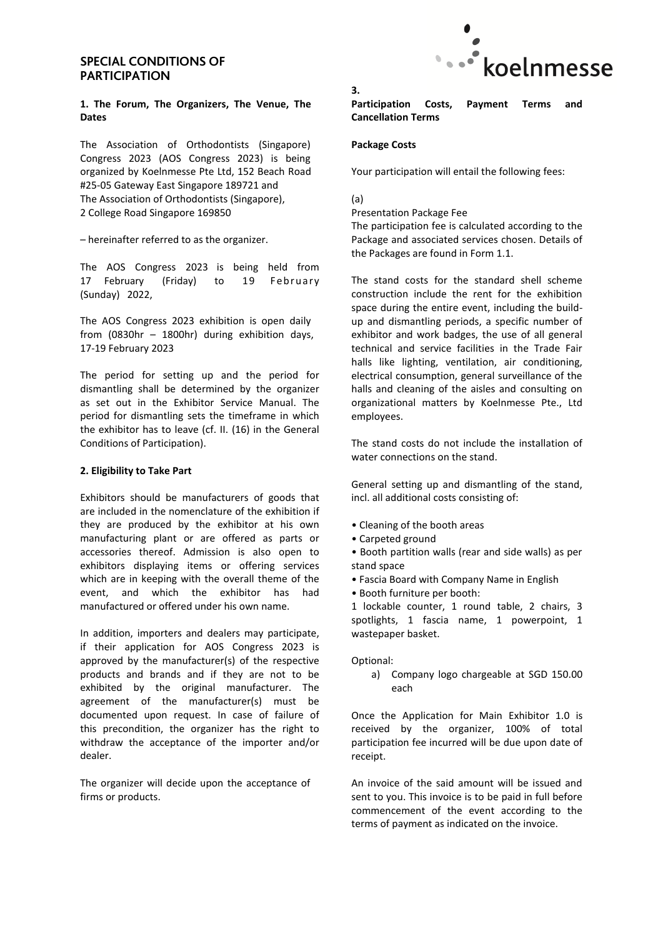## **SPECIAL CONDITIONS OF PARTICIPATION**

#### **1. The Forum, The Organizers, The Venue, The Dates**

The Association of Orthodontists (Singapore) Congress 2023 (AOS Congress 2023) is being organized by Koelnmesse Pte Ltd, 152 Beach Road #25-05 Gateway East Singapore 189721 and The Association of Orthodontists (Singapore), 2 College Road Singapore 169850

– hereinafter referred to as the organizer.

The AOS Congress 2023 is being held from 17 February (Friday) to 19 February (Sunday) 2022,

The AOS Congress 2023 exhibition is open daily from (0830hr – 1800hr) during exhibition days, 17-19 February 2023

The period for setting up and the period for dismantling shall be determined by the organizer as set out in the Exhibitor Service Manual. The period for dismantling sets the timeframe in which the exhibitor has to leave (cf. II. (16) in the General Conditions of Participation).

#### **2. Eligibility to Take Part**

Exhibitors should be manufacturers of goods that are included in the nomenclature of the exhibition if they are produced by the exhibitor at his own manufacturing plant or are offered as parts or accessories thereof. Admission is also open to exhibitors displaying items or offering services which are in keeping with the overall theme of the event, and which the exhibitor has had manufactured or offered under his own name.

In addition, importers and dealers may participate, if their application for AOS Congress 2023 is approved by the manufacturer(s) of the respective products and brands and if they are not to be exhibited by the original manufacturer. The agreement of the manufacturer(s) must be documented upon request. In case of failure of this precondition, the organizer has the right to withdraw the acceptance of the importer and/or dealer.

The organizer will decide upon the acceptance of firms or products.



**Participation Costs, Payment Terms and Cancellation Terms** 

#### **Package Costs**

Your participation will entail the following fees:

#### (a)

**3.** 

Presentation Package Fee

The participation fee is calculated according to the Package and associated services chosen. Details of the Packages are found in Form 1.1.

The stand costs for the standard shell scheme construction include the rent for the exhibition space during the entire event, including the buildup and dismantling periods, a specific number of exhibitor and work badges, the use of all general technical and service facilities in the Trade Fair halls like lighting, ventilation, air conditioning, electrical consumption, general surveillance of the halls and cleaning of the aisles and consulting on organizational matters by Koelnmesse Pte., Ltd employees.

The stand costs do not include the installation of water connections on the stand.

General setting up and dismantling of the stand, incl. all additional costs consisting of:

- Cleaning of the booth areas
- Carpeted ground

• Booth partition walls (rear and side walls) as per stand space

- Fascia Board with Company Name in English
- Booth furniture per booth:

1 lockable counter, 1 round table, 2 chairs, 3 spotlights, 1 fascia name, 1 powerpoint, 1 wastepaper basket.

Optional:

a) Company logo chargeable at SGD 150.00 each

Once the Application for Main Exhibitor 1.0 is received by the organizer, 100% of total participation fee incurred will be due upon date of receipt.

An invoice of the said amount will be issued and sent to you. This invoice is to be paid in full before commencement of the event according to the terms of payment as indicated on the invoice.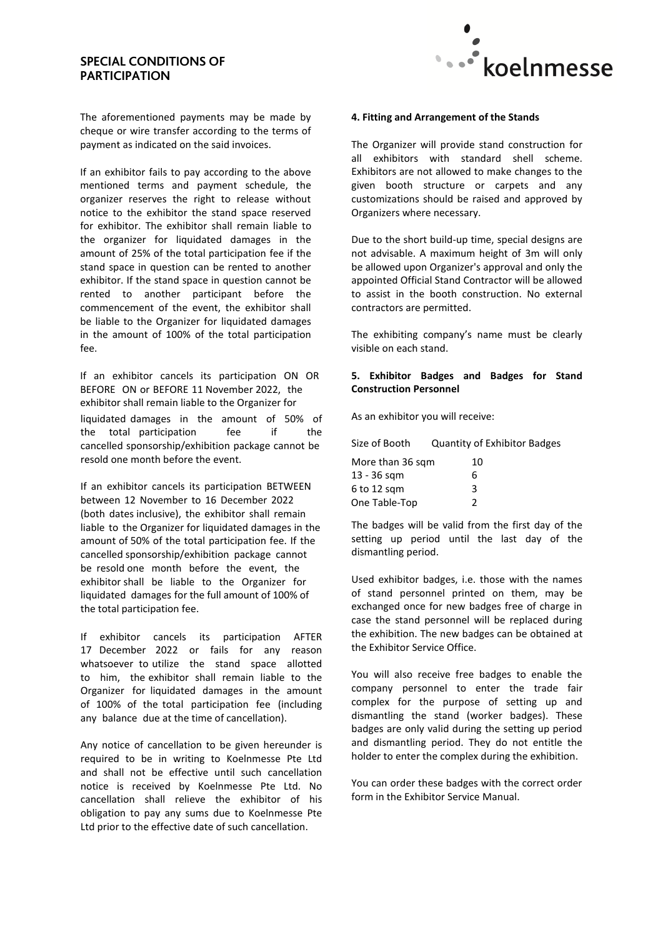## **SPECIAL CONDITIONS OF PARTICIPATION**



The aforementioned payments may be made by cheque or wire transfer according to the terms of payment as indicated on the said invoices.

If an exhibitor fails to pay according to the above mentioned terms and payment schedule, the organizer reserves the right to release without notice to the exhibitor the stand space reserved for exhibitor. The exhibitor shall remain liable to the organizer for liquidated damages in the amount of 25% of the total participation fee if the stand space in question can be rented to another exhibitor. If the stand space in question cannot be rented to another participant before the commencement of the event, the exhibitor shall be liable to the Organizer for liquidated damages in the amount of 100% of the total participation fee.

If an exhibitor cancels its participation ON OR BEFORE ON or BEFORE 11 November 2022, the exhibitor shall remain liable to the Organizer for liquidated damages in the amount of 50% of the total participation fee if the cancelled sponsorship/exhibition package cannot be resold one month before the event.

If an exhibitor cancels its participation BETWEEN between 12 November to 16 December 2022 (both dates inclusive), the exhibitor shall remain liable to the Organizer for liquidated damages in the amount of 50% of the total participation fee. If the cancelled sponsorship/exhibition package cannot be resold one month before the event, the exhibitor shall be liable to the Organizer for liquidated damages for the full amount of 100% of the total participation fee.

If exhibitor cancels its participation AFTER 17 December 2022 or fails for any reason whatsoever to utilize the stand space allotted to him, the exhibitor shall remain liable to the Organizer for liquidated damages in the amount of 100% of the total participation fee (including any balance due at the time of cancellation).

Any notice of cancellation to be given hereunder is required to be in writing to Koelnmesse Pte Ltd and shall not be effective until such cancellation notice is received by Koelnmesse Pte Ltd. No cancellation shall relieve the exhibitor of his obligation to pay any sums due to Koelnmesse Pte Ltd prior to the effective date of such cancellation.

#### **4. Fitting and Arrangement of the Stands**

The Organizer will provide stand construction for all exhibitors with standard shell scheme. Exhibitors are not allowed to make changes to the given booth structure or carpets and any customizations should be raised and approved by Organizers where necessary.

Due to the short build-up time, special designs are not advisable. A maximum height of 3m will only be allowed upon Organizer's approval and only the appointed Official Stand Contractor will be allowed to assist in the booth construction. No external contractors are permitted.

The exhibiting company's name must be clearly visible on each stand.

#### **5. Exhibitor Badges and Badges for Stand Construction Personnel**

As an exhibitor you will receive:

| Size of Booth    | <b>Quantity of Exhibitor Badges</b> |
|------------------|-------------------------------------|
| More than 36 sqm | 10                                  |
| 13 - 36 sgm      | 6                                   |
| $6$ to 12 sqm    | 3                                   |
| One Table-Top    | 2                                   |

The badges will be valid from the first day of the setting up period until the last day of the dismantling period.

Used exhibitor badges, i.e. those with the names of stand personnel printed on them, may be exchanged once for new badges free of charge in case the stand personnel will be replaced during the exhibition. The new badges can be obtained at the Exhibitor Service Office.

You will also receive free badges to enable the company personnel to enter the trade fair complex for the purpose of setting up and dismantling the stand (worker badges). These badges are only valid during the setting up period and dismantling period. They do not entitle the holder to enter the complex during the exhibition.

You can order these badges with the correct order form in the Exhibitor Service Manual.